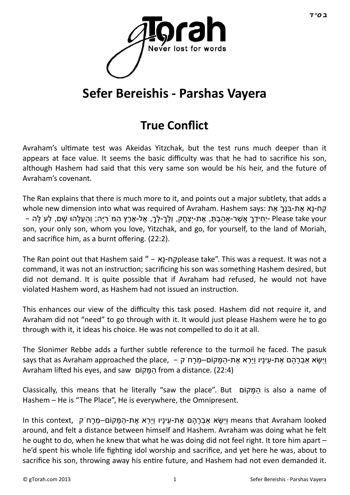

# **Sefer Bereishis - Parshas Vayera**

## **True Conflict**

Avraham's ultimate test was Akeidas Yitzchak, but the test runs much deeper than it appears at face value. It seems the basic difficulty was that he had to sacrifice his son, although Hashem had said that this very same son would be his heir, and the future of Avraham's covenant.

The Ran explains that there is much more to it, and points out a major subtlety, that adds a קַח-נַא אֶת-בַּנְךָ אֶת subole new dimension into what was required of Avraham. Hashem says: ק יְחִידְךָ אֲשֶׁר-אַהַבְתָּ, אֶת-יִצְחָק, וְלֵךְ-לְךָ, אֶל-אֶרֶץ הַמֹּרִיָּה; וְהַעֲלֵהוּ שֶׁם, לְעֹ לַה – Please take your son, your only son, whom you love, Yitzchak, and go, for yourself, to the land of Moriah, and sacrifice him, as a burnt offering. (22:2).

The Ran point out that Hashem said " – אָנ-ח ַקplease take". This was a request. It was not a command, it was not an instruction; sacrificing his son was something Hashem desired, but did not demand. It is quite possible that if Avraham had refused, he would not have violated Hashem word, as Hashem had not issued an instruction.

This enhances our view of the difficulty this task posed. Hashem did not require it, and Avraham did not "need" to go through with it. It would just please Hashem were he to go through with it, it ideas his choice. He was not compelled to do it at all.

The Slonimer Rebbe adds a further subtle reference to the turmoil he faced. The pasuk says that as Avraham approached the place, – וישֵׂא אבְרָהֶם אֶת-עַיָּיו וַיֹּרְא אֶת-הַמֲּקוֹם–מַרַחֹ ק Avraham lifted his eyes, and saw המּקוֹם from a distance. (22:4)

Classically, this means that he literally "saw the place". But קוֹם ָמּ ַה is also a name of Hashem – He is "The Place", He is everywhere, the Omnipresent.

ln this context, וַיִּשָּׂ א אַבְרָהַם אֶת-עֵינַיו וַיַּרְא אֶת-הַמַּקוֹם–מֵרַח<sup>ְ</sup>ק , in this context around, and felt a distance between himself and Hashem. Avraham was doing what he felt he ought to do, when he knew that what he was doing did not feel right. It tore him apart – he'd spent his whole life fighting idol worship and sacrifice, and yet here he was, about to sacrifice his son, throwing away his entire future, and Hashem had not even demanded it.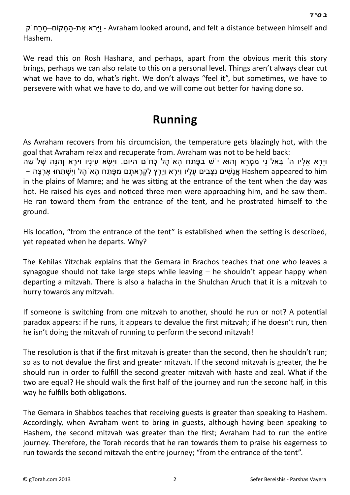ּהַיָּרָא אֶת-הַמַּקוֹם–מֵרַח<sup>ְ</sup> ק-Avraham looked around, and felt a distance between himself and Hashem.

We read this on Rosh Hashana, and perhaps, apart from the obvious merit this story brings, perhaps we can also relate to this on a personal level. Things aren't always clear cut what we have to do, what's right. We don't always "feel it", but sometimes, we have to persevere with what we have to do, and we will come out better for having done so.

## **Running**

As Avraham recovers from his circumcision, the temperature gets blazingly hot, with the goal that Avraham relax and recuperate from. Avraham was not to be held back:

ּוַיֵּרָא אֵלָיו ה' בְּאֵל ֹנֵי מַמְרֵא וְהוּא י שַׁ בפֶּתַח הַא הֵל כְּחֹם הַיּוֹם. וַיִּשָּׂא עֵינַיו וַיַּרְא וְהִנֵּה שָׁל שַׁה אַ נַשִּׁים נַצַּבִים עַלָּיו וַיִּרְא וַיַּרַץ לִקְרָאתָם מַפֶּתַח הָא הֶל וִישָׁתַּחוּ אַרְצַה – Hashem appeared to him in the plains of Mamre; and he was sitting at the entrance of the tent when the day was hot. He raised his eyes and noticed three men were approaching him, and he saw them. He ran toward them from the entrance of the tent, and he prostrated himself to the ground.

His location, "from the entrance of the tent" is established when the setting is described, yet repeated when he departs. Why?

The Kehilas Yitzchak explains that the Gemara in Brachos teaches that one who leaves a synagogue should not take large steps while leaving – he shouldn't appear happy when departing a mitzvah. There is also a halacha in the Shulchan Aruch that it is a mitzvah to hurry towards any mitzvah.

If someone is switching from one mitzvah to another, should he run or not? A potential paradox appears: if he runs, it appears to devalue the first mitzvah; if he doesn't run, then he isn't doing the mitzvah of running to perform the second mitzvah!

The resolution is that if the first mitzvah is greater than the second, then he shouldn't run; so as to not devalue the first and greater mitzvah. If the second mitzvah is greater, the he should run in order to fulfill the second greater mitzvah with haste and zeal. What if the two are equal? He should walk the first half of the journey and run the second half, in this way he fulfills both obligations.

The Gemara in Shabbos teaches that receiving guests is greater than speaking to Hashem. Accordingly, when Avraham went to bring in guests, although having been speaking to Hashem, the second mitzvah was greater than the first; Avraham had to run the entire journey. Therefore, the Torah records that he ran towards them to praise his eagerness to run towards the second mitzvah the entire journey; "from the entrance of the tent".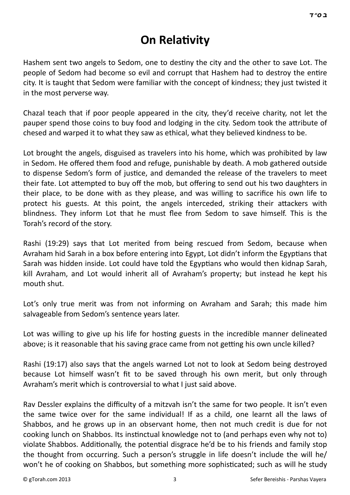## **On Relativity**

Hashem sent two angels to Sedom, one to destiny the city and the other to save Lot. The people of Sedom had become so evil and corrupt that Hashem had to destroy the entire city. It is taught that Sedom were familiar with the concept of kindness; they just twisted it in the most perverse way.

Chazal teach that if poor people appeared in the city, they'd receive charity, not let the pauper spend those coins to buy food and lodging in the city. Sedom took the attribute of chesed and warped it to what they saw as ethical, what they believed kindness to be.

Lot brought the angels, disguised as travelers into his home, which was prohibited by law in Sedom. He offered them food and refuge, punishable by death. A mob gathered outside to dispense Sedom's form of justice, and demanded the release of the travelers to meet their fate. Lot attempted to buy off the mob, but offering to send out his two daughters in their place, to be done with as they please, and was willing to sacrifice his own life to protect his guests. At this point, the angels interceded, striking their attackers with blindness. They inform Lot that he must flee from Sedom to save himself. This is the Torah's record of the story.

Rashi (19:29) says that Lot merited from being rescued from Sedom, because when Avraham hid Sarah in a box before entering into Egypt, Lot didn't inform the Egyptians that Sarah was hidden inside. Lot could have told the Egyptians who would then kidnap Sarah, kill Avraham, and Lot would inherit all of Avraham's property; but instead he kept his mouth shut.

Lot's only true merit was from not informing on Avraham and Sarah; this made him salvageable from Sedom's sentence years later.

Lot was willing to give up his life for hosting guests in the incredible manner delineated above; is it reasonable that his saving grace came from not getting his own uncle killed?

Rashi (19:17) also says that the angels warned Lot not to look at Sedom being destroyed because Lot himself wasn't fit to be saved through his own merit, but only through Avraham's merit which is controversial to what I just said above.

Rav Dessler explains the difficulty of a mitzvah isn't the same for two people. It isn't even the same twice over for the same individual! If as a child, one learnt all the laws of Shabbos, and he grows up in an observant home, then not much credit is due for not cooking lunch on Shabbos. Its instinctual knowledge not to (and perhaps even why not to) violate Shabbos. Additionally, the potential disgrace he'd be to his friends and family stop the thought from occurring. Such a person's struggle in life doesn't include the will he/ won't he of cooking on Shabbos, but something more sophisticated; such as will he study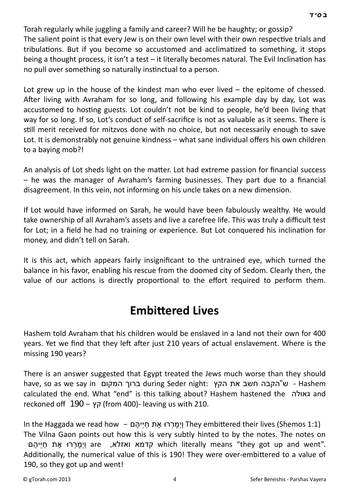Torah regularly while juggling a family and career? Will he be haughty; or gossip? The salient point is that every Jew is on their own level with their own respective trials and tribulations. But if you become so accustomed and acclimatized to something, it stops being a thought process, it isn't a test  $-$  it literally becomes natural. The Evil Inclination has no pull over something so naturally instinctual to a person.

Lot grew up in the house of the kindest man who ever lived – the epitome of chessed. After living with Avraham for so long, and following his example day by day, Lot was accustomed to hosting guests. Lot couldn't not be kind to people, he'd been living that way for so long. If so, Lot's conduct of self-sacrifice is not as valuable as it seems. There is still merit received for mitzvos done with no choice, but not necessarily enough to save Lot. It is demonstrably not genuine kindness – what sane individual offers his own children to a baying mob?!

An analysis of Lot sheds light on the matter. Lot had extreme passion for financial success – he was the manager of Avraham's farming businesses. They part due to a financial disagreement. In this vein, not informing on his uncle takes on a new dimension.

If Lot would have informed on Sarah, he would have been fabulously wealthy. He would take ownership of all Avraham's assets and live a carefree life. This was truly a difficult test for Lot; in a field he had no training or experience. But Lot conquered his inclination for money, and didn't tell on Sarah.

It is this act, which appears fairly insignificant to the untrained eye, which turned the balance in his favor, enabling his rescue from the doomed city of Sedom. Clearly then, the value of our actions is directly proportional to the effort required to perform them.

#### **Embittered Lives**

Hashem told Avraham that his children would be enslaved in a land not their own for 400 years. Yet we find that they left after just 210 years of actual enslavement. Where is the missing 190 years?

There is an answer suggested that Egypt treated the Jews much worse than they should have, so as we say in המקום ברוך during Seder night: הקץ את חשב הקבה"ש - Hashem calculated the end. What "end" is this talking about? Hashem hastened the גאולה and reckoned off 190 – קץ) from 400)- leaving us with 210.

In the Haggada we read how – וַיִּמְרְרוּ אֶת חִיּיהֶם They embittered their lives (Shemos 1:1) The Vilna Gaon points out how this is very subtly hinted to by the notes. The notes on are וימררו את חייהם which literally means "they got up and went". Additionally, the numerical value of this is 190! They were over-embittered to a value of 190, so they got up and went!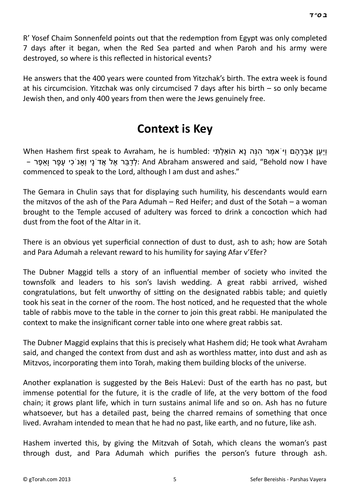R' Yosef Chaim Sonnenfeld points out that the redemption from Egypt was only completed 7 days after it began, when the Red Sea parted and when Paroh and his army were destroyed, so where is this reflected in historical events?

He answers that the 400 years were counted from Yitzchak's birth. The extra week is found at his circumcision. Yitzchak was only circumcised 7 days after his birth  $-$  so only became Jewish then, and only 400 years from then were the Jews genuinely free.

### **Context is Key**

ויען אבְרַהַם וי אמר הנּה נַא הוֹאלְתּי :When Hashem first speak to Avraham, he is humbled – לְדַבֵּר אֶל אֲדֹנֵי וְאָנ<sup>ֹ</sup>כִי עַפַּר וְאִפֶּר (And Abraham answered and said, "Behold now I have commenced to speak to the Lord, although I am dust and ashes."

The Gemara in Chulin says that for displaying such humility, his descendants would earn the mitzvos of the ash of the Para Adumah – Red Heifer; and dust of the Sotah – a woman brought to the Temple accused of adultery was forced to drink a concoction which had dust from the foot of the Altar in it.

There is an obvious yet superficial connection of dust to dust, ash to ash; how are Sotah and Para Adumah a relevant reward to his humility for saying Afar v'Efer?

The Dubner Maggid tells a story of an influential member of society who invited the townsfolk and leaders to his son's lavish wedding. A great rabbi arrived, wished congratulations, but felt unworthy of sitting on the designated rabbis table; and quietly took his seat in the corner of the room. The host noticed, and he requested that the whole table of rabbis move to the table in the corner to join this great rabbi. He manipulated the context to make the insignificant corner table into one where great rabbis sat.

The Dubner Maggid explains that this is precisely what Hashem did; He took what Avraham said, and changed the context from dust and ash as worthless matter, into dust and ash as Mitzvos, incorporating them into Torah, making them building blocks of the universe.

Another explanation is suggested by the Beis HaLevi: Dust of the earth has no past, but immense potential for the future, it is the cradle of life, at the very bottom of the food chain; it grows plant life, which in turn sustains animal life and so on. Ash has no future whatsoever, but has a detailed past, being the charred remains of something that once lived. Avraham intended to mean that he had no past, like earth, and no future, like ash.

Hashem inverted this, by giving the Mitzvah of Sotah, which cleans the woman's past through dust, and Para Adumah which purifies the person's future through ash.